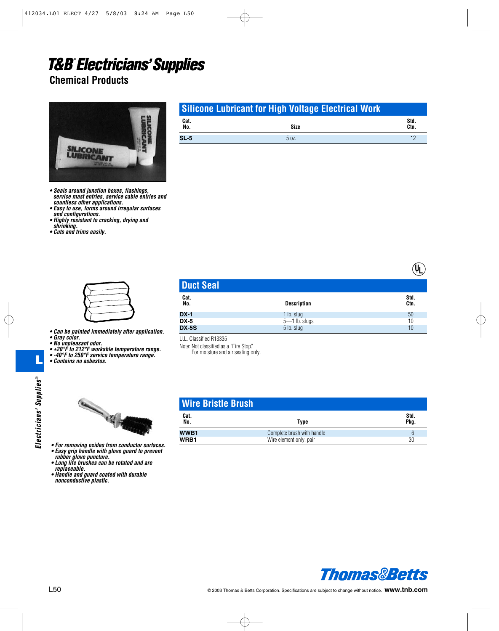## **T&B°Electricians' Supplies**

**Chemical Products**



- *Seals around junction boxes, flashings, service mast entries, service cable entries and countless other applications.*
- *Easy to use, forms around irregular surfaces and configurations.*
- *Highly resistant to cracking, drying and shrinking.*
- *Cuts and trims easily.*



- *Can be painted immediately after application. • Gray color.*
- 
- *No unpleasant odor. • +20°F to 212°F workable temperature range.*
- *-40°F to 250°F service temperature range.*

*• Contains no asbestos.*



- *For removing oxides from conductor surfaces. • Easy grip handle with glove guard to prevent*
- *rubber glove puncture. • Long life brushes can be rotated and are replaceable.*
- *Handle and guard coated with durable nonconductive plastic.*

| <b>Silicone Lubricant for High Voltage Electrical Work</b> |  |  |  |
|------------------------------------------------------------|--|--|--|
|                                                            |  |  |  |

| Cat.<br>No. | <b>Size</b> | Std.<br>Ctn. |
|-------------|-------------|--------------|
| $SL-5$      | 5 oz.       | . .          |

| <b>Duct Seal</b> |                    |              |
|------------------|--------------------|--------------|
| Cat.<br>No.      | <b>Description</b> | Std.<br>Ctn. |
| <b>DX-1</b>      | $1$ lb. slug       | 50           |
| <b>DX-5</b>      | $5 - 1$ lb. slugs  | 10           |
| <b>DX-5S</b>     | 5 lb. slug         | 10           |

U.L. Classified R13335

Note: Not classified as a "Fire Stop."

For moisture and air sealing only.

| <b>Wire Bristle Brush</b> |                            |              |
|---------------------------|----------------------------|--------------|
| Cat.<br>No.               | Type                       | Std.<br>Pkg. |
| WWB1                      | Complete brush with handle |              |
| WRB1                      | Wire element only, pair    | 30           |



 $\mathbf{Q}_L$ 

**L**